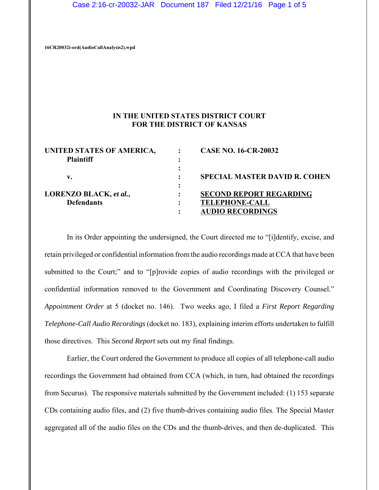Case 2:16-cr-20032-JAR Document 187 Filed 12/21/16 Page 1 of 5

**16CR20032i-ord(AudioCallAnalysis2).wpd**

### **IN THE UNITED STATES DISTRICT COURT FOR THE DISTRICT OF KANSAS**

| UNITED STATES OF AMERICA,<br><b>Plaintiff</b> | <b>CASE NO. 16-CR-20032</b>                                                        |
|-----------------------------------------------|------------------------------------------------------------------------------------|
| v.                                            | <b>SPECIAL MASTER DAVID R. COHEN</b>                                               |
| LORENZO BLACK, et al.,<br><b>Defendants</b>   | <b>SECOND REPORT REGARDING</b><br><b>TELEPHONE-CALL</b><br><b>AUDIO RECORDINGS</b> |

In its Order appointing the undersigned, the Court directed me to "[i]dentify, excise, and retain privileged or confidential information from the audio recordings made at CCA that have been submitted to the Court;" and to "[p]rovide copies of audio recordings with the privileged or confidential information removed to the Government and Coordinating Discovery Counsel." *Appointment Order* at 5 (docket no. 146). Two weeks ago, I filed a *First Report Regarding Telephone-Call Audio Recordings* (docket no. 183), explaining interim efforts undertaken to fulfill those directives. This *Second Report* sets out my final findings.

Earlier, the Court ordered the Government to produce all copies of all telephone-call audio recordings the Government had obtained from CCA (which, in turn, had obtained the recordings from Securus). The responsive materials submitted by the Government included: (1) 153 separate CDs containing audio files, and (2) five thumb-drives containing audio files. The Special Master aggregated all of the audio files on the CDs and the thumb-drives, and then de-duplicated. This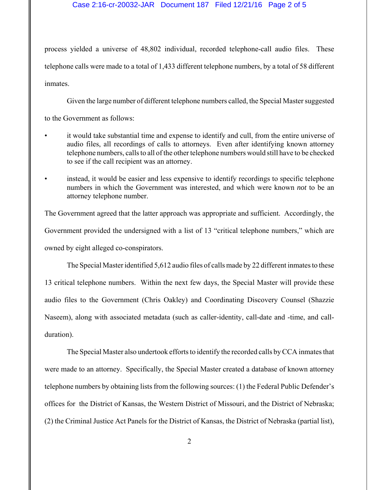#### Case 2:16-cr-20032-JAR Document 187 Filed 12/21/16 Page 2 of 5

process yielded a universe of 48,802 individual, recorded telephone-call audio files. These telephone calls were made to a total of 1,433 different telephone numbers, by a total of 58 different inmates.

Given the large number of different telephone numbers called, the Special Master suggested

to the Government as follows:

- it would take substantial time and expense to identify and cull, from the entire universe of audio files, all recordings of calls to attorneys. Even after identifying known attorney telephone numbers, calls to all of the other telephone numbers would still have to be checked to see if the call recipient was an attorney.
- instead, it would be easier and less expensive to identify recordings to specific telephone numbers in which the Government was interested, and which were known *not* to be an attorney telephone number.

The Government agreed that the latter approach was appropriate and sufficient. Accordingly, the Government provided the undersigned with a list of 13 "critical telephone numbers," which are owned by eight alleged co-conspirators.

The Special Master identified 5,612 audio files of calls made by 22 different inmates to these 13 critical telephone numbers. Within the next few days, the Special Master will provide these audio files to the Government (Chris Oakley) and Coordinating Discovery Counsel (Shazzie Naseem), along with associated metadata (such as caller-identity, call-date and -time, and callduration).

The Special Master also undertook efforts to identify the recorded calls by CCA inmates that were made to an attorney. Specifically, the Special Master created a database of known attorney telephone numbers by obtaining lists from the following sources: (1) the Federal Public Defender's offices for the District of Kansas, the Western District of Missouri, and the District of Nebraska; (2) the Criminal Justice Act Panels for the District of Kansas, the District of Nebraska (partial list),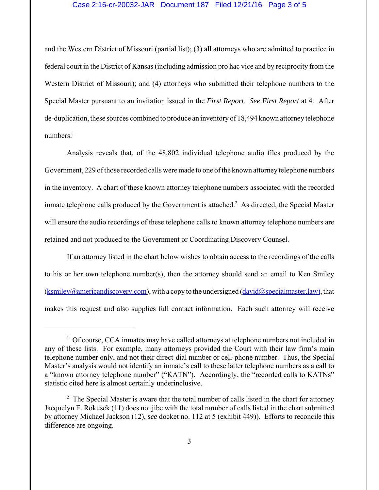#### Case 2:16-cr-20032-JAR Document 187 Filed 12/21/16 Page 3 of 5

and the Western District of Missouri (partial list); (3) all attorneys who are admitted to practice in federal court in the District of Kansas (including admission pro hac vice and by reciprocity from the Western District of Missouri); and (4) attorneys who submitted their telephone numbers to the Special Master pursuant to an invitation issued in the *First Report*. *See First Report* at 4. After de-duplication, these sources combined to produce an inventory of 18,494 known attorney telephone numbers. $<sup>1</sup>$ </sup>

Analysis reveals that, of the 48,802 individual telephone audio files produced by the Government, 229 of those recorded calls were made to one of the known attorney telephone numbers in the inventory. A chart of these known attorney telephone numbers associated with the recorded inmate telephone calls produced by the Government is attached.<sup>2</sup> As directed, the Special Master will ensure the audio recordings of these telephone calls to known attorney telephone numbers are retained and not produced to the Government or Coordinating Discovery Counsel.

If an attorney listed in the chart below wishes to obtain access to the recordings of the calls to his or her own telephone number(s), then the attorney should send an email to Ken Smiley  $(ksmiley@americandiscovery.com)$ , with a copy to the undersigned  $(david@specialmaster-law)$ , that makes this request and also supplies full contact information. Each such attorney will receive

<sup>&</sup>lt;sup>1</sup> Of course, CCA inmates may have called attorneys at telephone numbers not included in any of these lists. For example, many attorneys provided the Court with their law firm's main telephone number only, and not their direct-dial number or cell-phone number. Thus, the Special Master's analysis would not identify an inmate's call to these latter telephone numbers as a call to a "known attorney telephone number" ("KATN"). Accordingly, the "recorded calls to KATNs" statistic cited here is almost certainly underinclusive.

 $2$  The Special Master is aware that the total number of calls listed in the chart for attorney Jacquelyn E. Rokusek (11) does not jibe with the total number of calls listed in the chart submitted by attorney Michael Jackson (12), *see* docket no. 112 at 5 (exhibit 449)). Efforts to reconcile this difference are ongoing.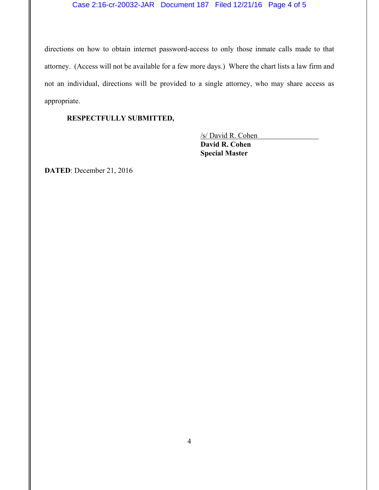## Case 2:16-cr-20032-JAR Document 187 Filed 12/21/16 Page 4 of 5

directions on how to obtain internet password-access to only those inmate calls made to that attorney. (Access will not be available for a few more days.) Where the chart lists a law firm and not an individual, directions will be provided to a single attorney, who may share access as appropriate.

## **RESPECTFULLY SUBMITTED,**

/s/ David R. Cohen **David R. Cohen Special Master**

**DATED**: December 21, 2016